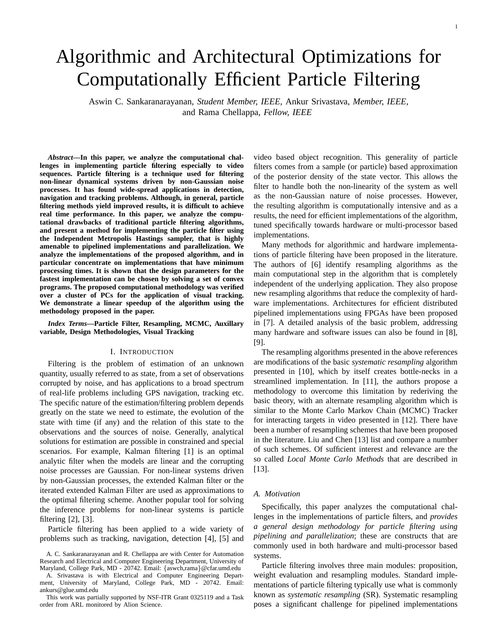# Algorithmic and Architectural Optimizations for Computationally Efficient Particle Filtering

Aswin C. Sankaranarayanan, *Student Member, IEEE,* Ankur Srivastava, *Member, IEEE,* and Rama Chellappa, *Fellow, IEEE*

*Abstract***—In this paper, we analyze the computational challenges in implementing particle filtering especially to video sequences. Particle filtering is a technique used for filtering non-linear dynamical systems driven by non-Gaussian noise processes. It has found wide-spread applications in detection, navigation and tracking problems. Although, in general, particle filtering methods yield improved results, it is difficult to achieve real time performance. In this paper, we analyze the computational drawbacks of traditional particle filtering algorithms, and present a method for implementing the particle filter using the Independent Metropolis Hastings sampler, that is highly amenable to pipelined implementations and parallelization. We analyze the implementations of the proposed algorithm, and in particular concentrate on implementations that have minimum processing times. It is shown that the design parameters for the fastest implementation can be chosen by solving a set of convex programs. The proposed computational methodology was verified over a cluster of PCs for the application of visual tracking. We demonstrate a linear speedup of the algorithm using the methodology proposed in the paper.**

*Index Terms***—Particle Filter, Resampling, MCMC, Auxillary variable, Design Methodologies, Visual Tracking**

#### I. INTRODUCTION

Filtering is the problem of estimation of an unknown quantity, usually referred to as state, from a set of observations corrupted by noise, and has applications to a broad spectrum of real-life problems including GPS navigation, tracking etc. The specific nature of the estimation/filtering problem depends greatly on the state we need to estimate, the evolution of the state with time (if any) and the relation of this state to the observations and the sources of noise. Generally, analytical solutions for estimation are possible in constrained and special scenarios. For example, Kalman filtering [1] is an optimal analytic filter when the models are linear and the corrupting noise processes are Gaussian. For non-linear systems driven by non-Gaussian processes, the extended Kalman filter or the iterated extended Kalman Filter are used as approximations to the optimal filtering scheme. Another popular tool for solving the inference problems for non-linear systems is particle filtering [2], [3].

Particle filtering has been applied to a wide variety of problems such as tracking, navigation, detection [4], [5] and

A. Srivastava is with Electrical and Computer Engineering Department, University of Maryland, College Park, MD - 20742. Email: ankurs@glue.umd.edu

This work was partially supported by NSF-ITR Grant 0325119 and a Task order from ARL monitored by Alion Science.

video based object recognition. This generality of particle filters comes from a sample (or particle) based approximation of the posterior density of the state vector. This allows the filter to handle both the non-linearity of the system as well as the non-Gaussian nature of noise processes. However, the resulting algorithm is computationally intensive and as a results, the need for efficient implementations of the algorithm, tuned specifically towards hardware or multi-processor based implementations.

Many methods for algorithmic and hardware implementations of particle filtering have been proposed in the literature. The authors of [6] identify resampling algorithms as the main computational step in the algorithm that is completely independent of the underlying application. They also propose new resampling algorithms that reduce the complexity of hardware implementations. Architectures for efficient distributed pipelined implementations using FPGAs have been proposed in [7]. A detailed analysis of the basic problem, addressing many hardware and software issues can also be found in [8], [9].

The resampling algorithms presented in the above references are modifications of the basic *systematic resampling* algorithm presented in [10], which by itself creates bottle-necks in a streamlined implementation. In [11], the authors propose a methodology to overcome this limitation by rederiving the basic theory, with an alternate resampling algorithm which is similar to the Monte Carlo Markov Chain (MCMC) Tracker for interacting targets in video presented in [12]. There have been a number of resampling schemes that have been proposed in the literature. Liu and Chen [13] list and compare a number of such schemes. Of sufficient interest and relevance are the so called *Local Monte Carlo Methods* that are described in [13].

## *A. Motivation*

Specifically, this paper analyzes the computational challenges in the implementations of particle filters, and *provides a general design methodology for particle filtering using pipelining and parallelization*; these are constructs that are commonly used in both hardware and multi-processor based systems.

Particle filtering involves three main modules: proposition, weight evaluation and resampling modules. Standard implementations of particle filtering typically use what is commonly known as *systematic resampling* (SR). Systematic resampling poses a significant challenge for pipelined implementations

A. C. Sankaranarayanan and R. Chellappa are with Center for Automation Research and Electrical and Computer Engineering Department, University of Maryland, College Park, MD - 20742. Email: {aswch,rama}@cfar.umd.edu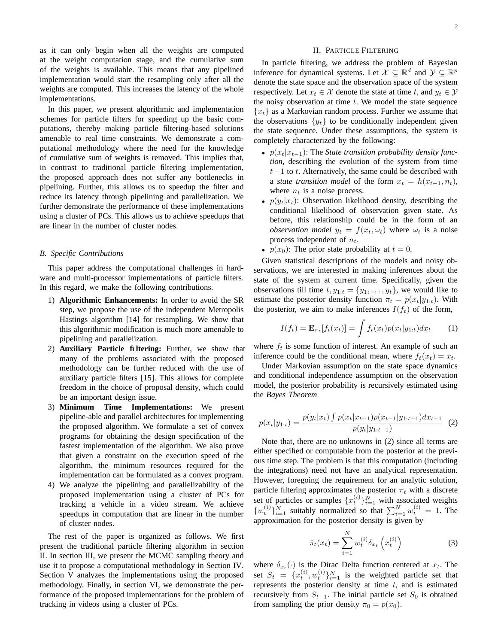as it can only begin when all the weights are computed at the weight computation stage, and the cumulative sum of the weights is available. This means that any pipelined implementation would start the resampling only after all the weights are computed. This increases the latency of the whole implementations.

In this paper, we present algorithmic and implementation schemes for particle filters for speeding up the basic computations, thereby making particle filtering-based solutions amenable to real time constraints. We demonstrate a computational methodology where the need for the knowledge of cumulative sum of weights is removed. This implies that, in contrast to traditional particle filtering implementation, the proposed approach does not suffer any bottlenecks in pipelining. Further, this allows us to speedup the filter and reduce its latency through pipelining and parallelization. We further demonstrate the performance of these implementations using a cluster of PCs. This allows us to achieve speedups that are linear in the number of cluster nodes.

## *B. Specific Contributions*

This paper address the computational challenges in hardware and multi-processor implementations of particle filters. In this regard, we make the following contributions.

- 1) **Algorithmic Enhancements:** In order to avoid the SR step, we propose the use of the independent Metropolis Hastings algorithm [14] for resampling. We show that this algorithmic modification is much more amenable to pipelining and parallelization.
- 2) **Auxiliary Particle filtering:** Further, we show that many of the problems associated with the proposed methodology can be further reduced with the use of auxiliary particle filters [15]. This allows for complete freedom in the choice of proposal density, which could be an important design issue.
- 3) **Minimum Time Implementations:** We present pipeline-able and parallel architectures for implementing the proposed algorithm. We formulate a set of convex programs for obtaining the design specification of the fastest implementation of the algorithm. We also prove that given a constraint on the execution speed of the algorithm, the minimum resources required for the implementation can be formulated as a convex program.
- 4) We analyze the pipelining and parallelizability of the proposed implementation using a cluster of PCs for tracking a vehicle in a video stream. We achieve speedups in computation that are linear in the number of cluster nodes.

The rest of the paper is organized as follows. We first present the traditional particle filtering algorithm in section II. In section III, we present the MCMC sampling theory and use it to propose a computational methodology in Section IV. Section V analyzes the implementations using the proposed methodology. Finally, in section VI, we demonstrate the performance of the proposed implementations for the problem of tracking in videos using a cluster of PCs.

# II. PARTICLE FILTERING

In particle filtering, we address the problem of Bayesian inference for dynamical systems. Let  $\mathcal{X} \subseteq \mathbb{R}^d$  and  $\mathcal{Y} \subseteq \mathbb{R}^p$ denote the state space and the observation space of the system respectively. Let  $x_t \in \mathcal{X}$  denote the state at time t, and  $y_t \in \mathcal{Y}$ the noisy observation at time  $t$ . We model the state sequence  ${x_t}$  as a Markovian random process. Further we assume that the observations  $\{y_t\}$  to be conditionally independent given the state sequence. Under these assumptions, the system is completely characterized by the following:

- $p(x_t|x_{t-1})$ : The *State transition probability density function*, describing the evolution of the system from time  $t-1$  to t. Alternatively, the same could be described with a *state transition model* of the form  $x_t = h(x_{t-1}, n_t)$ , where  $n_t$  is a noise process.
- $p(y_t|x_t)$ : Observation likelihood density, describing the conditional likelihood of observation given state. As before, this relationship could be in the form of an *observation model*  $y_t = f(x_t, \omega_t)$  where  $\omega_t$  is a noise process independent of  $n_t$ .
- $p(x_0)$ : The prior state probability at  $t = 0$ .

Given statistical descriptions of the models and noisy observations, we are interested in making inferences about the state of the system at current time. Specifically, given the observations till time  $t, y_{1:t} = \{y_1, \ldots, y_t\}$ , we would like to estimate the posterior density function  $\pi_t = p(x_t|y_{1:t})$ . With the posterior, we aim to make inferences  $I(f_t)$  of the form,

$$
I(f_t) = \mathbf{E}_{\pi_t}[f_t(x_t)] = \int f_t(x_t) p(x_t|y_{1:t}) dx_t \qquad (1)
$$

where  $f_t$  is some function of interest. An example of such an inference could be the conditional mean, where  $f_t(x_t) = x_t$ .

Under Markovian assumption on the state space dynamics and conditional independence assumption on the observation model, the posterior probability is recursively estimated using the *Bayes Theorem*

$$
p(x_t|y_{1:t}) = \frac{p(y_t|x_t) \int p(x_t|x_{t-1})p(x_{t-1}|y_{1:t-1})dx_{t-1}}{p(y_t|y_{1:t-1})}
$$
 (2)

Note that, there are no unknowns in (2) since all terms are either specified or computable from the posterior at the previous time step. The problem is that this computation (including the integrations) need not have an analytical representation. However, foregoing the requirement for an analytic solution, particle filtering approximates the posterior  $\pi_t$  with a discrete set of particles or samples  $\{x_t^{(i)}\}_{i=1}^N$  with associated weights  $\{w_t^{(i)}\}_{i=1}^N$  suitably normalized so that  $\sum_{i=1}^N w_t^{(i)} = 1$ . The approximation for the posterior density is given by

$$
\hat{\pi}_t(x_t) = \sum_{i=1}^N w_t^{(i)} \delta_{x_t} \left( x_t^{(i)} \right) \tag{3}
$$

where  $\delta_{x_t}(\cdot)$  is the Dirac Delta function centered at  $x_t$ . The set  $S_t = \{x_t^{(i)}, w_t^{(i)}\}_{i=1}^N$  is the weighted particle set that represents the posterior density at time  $t$ , and is estimated recursively from  $S_{t-1}$ . The initial particle set  $S_0$  is obtained from sampling the prior density  $\pi_0 = p(x_0)$ .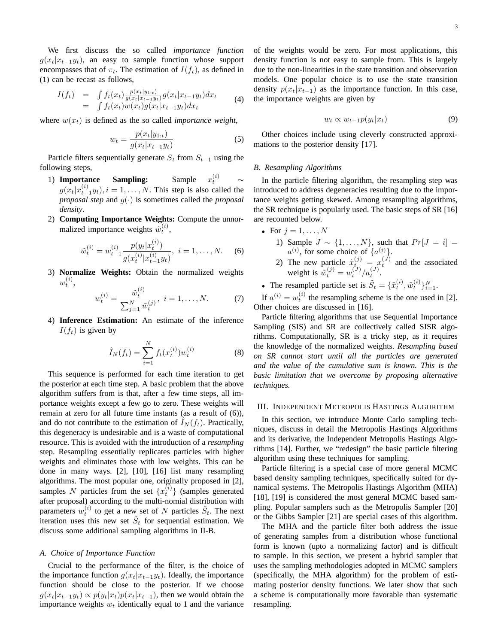We first discuss the so called *importance function*  $g(x_t|x_{t-1}y_t)$ , an easy to sample function whose support encompasses that of  $\pi_t$ . The estimation of  $I(f_t)$ , as defined in (1) can be recast as follows,

$$
I(f_t) = \int f_t(x_t) \frac{p(x_t|y_{1:t})}{g(x_t|x_{t-1}y_t)} g(x_t|x_{t-1}y_t) dx_t
$$
  
= 
$$
\int f_t(x_t) w(x_t) g(x_t|x_{t-1}y_t) dx_t
$$
 (4)

where  $w(x_t)$  is defined as the so called *importance* weight,

$$
w_t = \frac{p(x_t|y_{1:t})}{g(x_t|x_{t-1}y_t)}
$$
(5)

Particle filters sequentially generate  $S_t$  from  $S_{t-1}$  using the following steps,

- 1) **Importance Sampling:**  $\begin{array}{cc} (i) & \sim \\ t & \end{array}$  $g(x_t|x_{t-1}^{(i)}y_t), i = 1, \ldots, N$ . This step is also called the *proposal step* and  $g(\cdot)$  is sometimes called the *proposal density*.
- 2) **Computing Importance Weights:** Compute the unnormalized importance weights  $\tilde{w}_t^{(i)}$ ,

$$
\tilde{w}_t^{(i)} = w_{t-1}^{(i)} \frac{p(y_t|x_t^{(i)})}{g(x_t^{(i)}|x_{t-1}^{(i)}y_t)}, \ i = 1, \dots, N. \tag{6}
$$

3) **Normalize Weights:** Obtain the normalized weights  $w_t^{(i)},$ 

$$
w_t^{(i)} = \frac{\tilde{w}_t^{(i)}}{\sum_{j=1}^N \tilde{w}_t^{(j)}}, \ i = 1, \dots, N. \tag{7}
$$

4) **Inference Estimation:** An estimate of the inference  $I(f_t)$  is given by

$$
\hat{I}_N(f_t) = \sum_{i=1}^N f_t(x_t^{(i)}) w_t^{(i)}
$$
\n(8)

This sequence is performed for each time iteration to get the posterior at each time step. A basic problem that the above algorithm suffers from is that, after a few time steps, all importance weights except a few go to zero. These weights will remain at zero for all future time instants (as a result of (6)), and do not contribute to the estimation of  $I_N(f_t)$ . Practically, this degeneracy is undesirable and is a waste of computational resource. This is avoided with the introduction of a *resampling* step. Resampling essentially replicates particles with higher weights and eliminates those with low weights. This can be done in many ways. [2], [10], [16] list many resampling algorithms. The most popular one, originally proposed in [2], samples N particles from the set  $\{x_t^{(i)}\}$  (samples generated after proposal) according to the multi-nomial distribution with parameters  $w_t^{(i)}$  to get a new set of N particles  $\tilde{S}_t$ . The next iteration uses this new set  $\tilde{S}_t$  for sequential estimation. We discuss some additional sampling algorithms in II-B.

#### *A. Choice of Importance Function*

Crucial to the performance of the filter, is the choice of the importance function  $g(x_t|x_{t-1}y_t)$ . Ideally, the importance function should be close to the posterior. If we choose  $g(x_t|x_{t-1}y_t) \propto p(y_t|x_t)p(x_t|x_{t-1})$ , then we would obtain the importance weights  $w_t$  identically equal to 1 and the variance of the weights would be zero. For most applications, this density function is not easy to sample from. This is largely due to the non-linearities in the state transition and observation models. One popular choice is to use the state transition density  $p(x_t|x_{t-1})$  as the importance function. In this case, the importance weights are given by

$$
w_t \propto w_{t-1} p(y_t | x_t) \tag{9}
$$

Other choices include using cleverly constructed approximations to the posterior density [17].

## *B. Resampling Algorithms*

In the particle filtering algorithm, the resampling step was introduced to address degeneracies resulting due to the importance weights getting skewed. Among resampling algorithms, the SR technique is popularly used. The basic steps of SR [16] are recounted below.

- For  $j = 1, \ldots, N$ 
	- 1) Sample  $J \sim \{1, \ldots, N\}$ , such that  $Pr[J = i] =$  $a^{(i)}$ , for some choice of  $\{a^{(i)}\}.$
	- 2) The new particle  $\tilde{x}_{t_n}^{(j)} = x_t^{(J)}$  and the associated weight is  $\tilde{w}_t^{(j)} = w_t^{(J)}/a_t^{(J)}$ .
- The resampled particle set is  $\tilde{S}_t = {\{\tilde{x}_t^{(i)}, \tilde{w}_t^{(i)}\}_{i=1}^N}$ .

If  $a^{(i)} = w_t^{(i)}$  the resampling scheme is the one used in [2]. Other choices are discussed in [16].

Particle filtering algorithms that use Sequential Importance Sampling (SIS) and SR are collectively called SISR algorithms. Computationally, SR is a tricky step, as it requires the knowledge of the normalized weights. *Resampling based on SR cannot start until all the particles are generated and the value of the cumulative sum is known. This is the basic limitation that we overcome by proposing alternative techniques.*

## III. INDEPENDENT METROPOLIS HASTINGS ALGORITHM

In this section, we introduce Monte Carlo sampling techniques, discuss in detail the Metropolis Hastings Algorithms and its derivative, the Independent Metropolis Hastings Algorithms [14]. Further, we "redesign" the basic particle filtering algorithm using these techniques for sampling.

Particle filtering is a special case of more general MCMC based density sampling techniques, specifically suited for dynamical systems. The Metropolis Hastings Algorithm (MHA) [18], [19] is considered the most general MCMC based sampling. Popular samplers such as the Metropolis Sampler [20] or the Gibbs Sampler [21] are special cases of this algorithm.

The MHA and the particle filter both address the issue of generating samples from a distribution whose functional form is known (upto a normalizing factor) and is difficult to sample. In this section, we present a hybrid sampler that uses the sampling methodologies adopted in MCMC samplers (specifically, the MHA algorithm) for the problem of estimating posterior density functions. We later show that such a scheme is computationally more favorable than systematic resampling.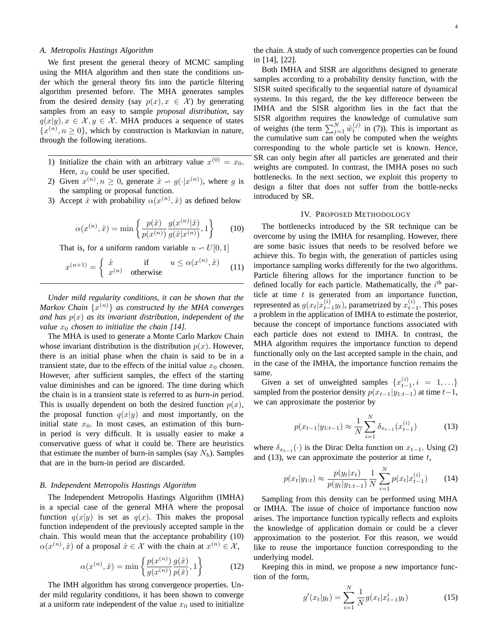#### *A. Metropolis Hastings Algorithm*

We first present the general theory of MCMC sampling using the MHA algorithm and then state the conditions under which the general theory fits into the particle filtering algorithm presented before. The MHA generates samples from the desired density (say  $p(x), x \in \mathcal{X}$ ) by generating samples from an easy to sample *proposal distribution*, say  $q(x|y), x \in \mathcal{X}, y \in \mathcal{X}$ . MHA produces a sequence of states  $\{x^{(n)}, n \ge 0\}$ , which by construction is Markovian in nature, through the following iterations.

- 1) Initialize the chain with an arbitrary value  $x^{(0)} = x_0$ . Here,  $x_0$  could be user specified.
- 2) Given  $x^{(n)}$ ,  $n \geq 0$ , generate  $\hat{x} \backsim g(\cdot | x^{(n)})$ , where g is the sampling or proposal function.
- 3) Accept  $\hat{x}$  with probability  $\alpha(x^{(n)}, \hat{x})$  as defined below

$$
\alpha(x^{(n)}, \hat{x}) = \min\left\{\frac{p(\hat{x})}{p(x^{(n)})} \frac{g(x^{(n)}|\hat{x})}{g(\hat{x}|x^{(n)})}, 1\right\}
$$
(10)

That is, for a uniform random variable  $u \backsim U[0, 1]$ 

$$
x^{(n+1)} = \begin{cases} \hat{x} & \text{if } u \le \alpha(x^{(n)}, \hat{x}) \\ x^{(n)} & \text{otherwise} \end{cases}
$$
(11)

*Under mild regularity conditions, it can be shown that the Markov Chain*  $\{x^{(n)}\}$  *as constructed by the MHA converges and* has  $p(x)$  *as its invariant distribution, independent of the value*  $x_0$  *chosen to initialize the chain* [14].

The MHA is used to generate a Monte Carlo Markov Chain whose invariant distribution is the distribution  $p(x)$ . However, there is an initial phase when the chain is said to be in a transient state, due to the effects of the initial value  $x_0$  chosen. However, after sufficient samples, the effect of the starting value diminishes and can be ignored. The time during which the chain is in a transient state is referred to as *burn-in* period. This is usually dependent on both the desired function  $p(x)$ , the proposal function  $q(x|y)$  and most importantly, on the initial state  $x_0$ . In most cases, an estimation of this burnin period is very difficult. It is usually easier to make a conservative guess of what it could be. There are heuristics that estimate the number of burn-in samples (say  $N_b$ ). Samples that are in the burn-in period are discarded.

#### *B. Independent Metropolis Hastings Algorithm*

The Independent Metropolis Hastings Algorithm (IMHA) is a special case of the general MHA where the proposal function  $q(x|y)$  is set as  $q(x)$ . This makes the proposal function independent of the previously accepted sample in the chain. This would mean that the acceptance probability (10)  $\alpha(x^{(n)}, \hat{x})$  of a proposal  $\hat{x} \in \mathcal{X}$  with the chain at  $x^{(n)} \in \mathcal{X}$ ,

$$
\alpha(x^{(n)}, \hat{x}) = \min\left\{\frac{p(x^{(n)})}{g(x^{(n)})} \frac{g(\hat{x})}{p(\hat{x})}, 1\right\}
$$
(12)

The IMH algorithm has strong convergence properties. Under mild regularity conditions, it has been shown to converge at a uniform rate independent of the value  $x_0$  used to initialize the chain. A study of such convergence properties can be found in [14], [22].

Both IMHA and SISR are algorithms designed to generate samples according to a probability density function, with the SISR suited specifically to the sequential nature of dynamical systems. In this regard, the the key difference between the IMHA and the SISR algorithm lies in the fact that the SISR algorithm requires the knowledge of cumulative sum of weights (the term  $\sum_{j=1}^{N} \tilde{w}_t^{(j)}$  in (7)). This is important as the cumulative sum can only be computed when the weights corresponding to the whole particle set is known. Hence, SR can only begin after all particles are generated and their weights are computed. In contrast, the IMHA poses no such bottlenecks. In the next section, we exploit this property to design a filter that does not suffer from the bottle-necks introduced by SR.

## IV. PROPOSED METHODOLOGY

The bottlenecks introduced by the SR technique can be overcome by using the IMHA for resampling. However, there are some basic issues that needs to be resolved before we achieve this. To begin with, the generation of particles using importance sampling works differently for the two algorithms. Particle filtering allows for the importance function to be defined locally for each particle. Mathematically, the  $i<sup>th</sup>$  particle at time  $t$  is generated from an importance function, represented as  $g(x_t|x_{t-1}^{(i)}y_t)$ , parametrized by  $x_{t-1}^{(i)}$ . This poses a problem in the application of IMHA to estimate the posterior, because the concept of importance functions associated with each particle does not extend to IMHA. In contrast, the MHA algorithm requires the importance function to depend functionally only on the last accepted sample in the chain, and in the case of the IMHA, the importance function remains the same.

Given a set of unweighted samples  $\{x_{t-1}^{(i)}, i = 1, ...\}$ sampled from the posterior density  $p(x_{t-1}|y_{1:t-1})$  at time  $t-1$ , we can approximate the posterior by

$$
p(x_{t-1}|y_{1:t-1}) \approx \frac{1}{N} \sum_{i=1}^{N} \delta_{x_{t-1}}(x_{t-1}^{(i)})
$$
 (13)

where  $\delta_{x_{t-1}}(\cdot)$  is the Dirac Delta function on  $x_{t-1}$ . Using (2) and  $(13)$ , we can approximate the posterior at time t,

$$
p(x_t|y_{1:t}) \approx \frac{p(y_t|x_t)}{p(y_t|y_{1:t-1})} \frac{1}{N} \sum_{i=1}^{N} p(x_t|x_{t-1}^{(i)}) \qquad (14)
$$

Sampling from this density can be performed using MHA or IMHA. The issue of choice of importance function now arises. The importance function typically reflects and exploits the knowledge of application domain or could be a clever approximation to the posterior. For this reason, we would like to reuse the importance function corresponding to the underlying model.

Keeping this in mind, we propose a new importance function of the form,

$$
g'(x_t|y_t) = \sum_{i=1}^{N} \frac{1}{N} g(x_t|x_{t-1}^i y_t)
$$
 (15)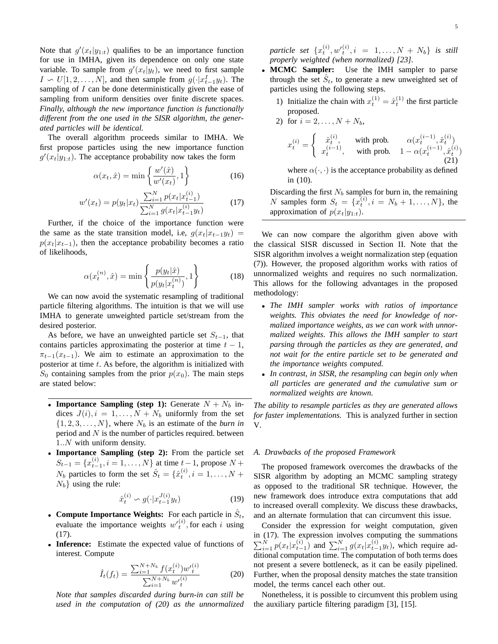Note that  $g'(x_t|y_{1:t})$  qualifies to be an importance function for use in IMHA, given its dependence on only one state variable. To sample from  $g'(x_t|y_t)$ , we need to first sample  $I \backsim U[1, 2, \ldots, N]$ , and then sample from  $g(\cdot | x_{t-1}^I y_t)$ . The sampling of  $I$  can be done deterministically given the ease of sampling from uniform densities over finite discrete spaces. *Finally, although the new importance function is functionally different from the one used in the SISR algorithm, the generated particles will be identical.*

The overall algorithm proceeds similar to IMHA. We first propose particles using the new importance function  $g'(x_t|y_{1:t})$ . The acceptance probability now takes the form

$$
\alpha(x_t, \hat{x}) = \min\left\{\frac{w'(\hat{x})}{w'(x_t)}, 1\right\} \tag{16}
$$

$$
w'(x_t) = p(y_t|x_t) \frac{\sum_{i=1}^{N} p(x_t|x_{t-1}^{(i)})}{\sum_{i=1}^{N} g(x_t|x_{t-1}^{(i)}y_t)}
$$
(17)

Further, if the choice of the importance function were the same as the state transition model, i.e,  $g(x_t|x_{t-1}y_t)$  =  $p(x_t|x_{t-1})$ , then the acceptance probability becomes a ratio of likelihoods,

$$
\alpha(x_t^{(n)}, \hat{x}) = \min\left\{\frac{p(y_t|\hat{x})}{p(y_t|x_t^{(n)})}, 1\right\} \tag{18}
$$

We can now avoid the systematic resampling of traditional particle filtering algorithms. The intuition is that we will use IMHA to generate unweighted particle set/stream from the desired posterior.

As before, we have an unweighted particle set  $S_{t-1}$ , that contains particles approximating the posterior at time  $t - 1$ ,  $\pi_{t-1}(x_{t-1})$ . We aim to estimate an approximation to the posterior at time  $t$ . As before, the algorithm is initialized with  $S_0$  containing samples from the prior  $p(x_0)$ . The main steps are stated below:

- **Importance Sampling** (step 1): Generate  $N + N_b$  indices  $J(i)$ ,  $i = 1, ..., N + N_b$  uniformly from the set  $\{1, 2, 3, \ldots, N\}$ , where  $N_b$  is an estimate of the *burn in* period and  $N$  is the number of particles required. between 1..N with uniform density.
- **Importance Sampling (step 2):** From the particle set  $S_{t-1} = \{x_{t-1}^{(i)}, i = 1, \ldots, N\}$  at time  $t-1$ , propose  $N +$  $N_b$  particles to form the set  $\hat{S}_t = \{\hat{x}_t^{(i)}, i = 1, \dots, N + \}$  $N_b$ } using the rule:

$$
\hat{x}_t^{(i)} \backsim g(\cdot | x_{t-1}^{J(i)} y_t)
$$
\n(19)

- Compute Importance Weights: For each particle in  $\hat{S}_t$ , evaluate the importance weights  $w_t^{(i)}$ , for each i using (17).
- **Inference:** Estimate the expected value of functions of interest. Compute

$$
\hat{I}_t(f_t) = \frac{\sum_{i=1}^{N+N_b} f(x_t^{(i)}) w_t^{\prime(i)}}{\sum_{i=1}^{N+N_b} w_t^{\prime(i)}}
$$
(20)

*Note that samples discarded during burn-in can still be used in the computation of (20) as the unnormalized*

 $\textit{particle set } \{x_{t}^{(i)}, {w'}_{t}^{(i)}, i = 1, \dots, N+N_{b}\} \textit{ is still}$ *properly weighted (when normalized) [23]*.

- **MCMC Sampler:** Use the IMH sampler to parse through the set  $\hat{S}_t$ , to generate a new unweighted set of particles using the following steps.
	- 1) Initialize the chain with  $x_t^{(1)} = \hat{x}_t^{(1)}$  the first particle proposed.
	- 2) for  $i = 2, ..., N + N_b$ ,

$$
x_t^{(i)} = \begin{cases} \hat{x}_t^{(i)}, & \text{with prob.} \\ x_t^{(i-1)}, & \text{with prob.} \end{cases} \quad \alpha(x_t^{(i-1)}, \hat{x}_t^{(i)})
$$
  

$$
1 - \alpha(x_t^{(i-1)}, \hat{x}_t^{(i)})
$$
  
(21)

where  $\alpha(\cdot, \cdot)$  is the acceptance probability as defined in (10).

Discarding the first  $N_b$  samples for burn in, the remaining *N* samples form  $S_t = \{x_t^{(i)}, i = N_b + 1, ..., N\}$ , the approximation of  $p(x_t|y_{1:t})$ .

We can now compare the algorithm given above with the classical SISR discussed in Section II. Note that the SISR algorithm involves a weight normalization step (equation (7)). However, the proposed algorithm works with ratios of unnormalized weights and requires no such normalization. This allows for the following advantages in the proposed methodology:

- *The IMH sampler works with ratios of importance weights. This obviates the need for knowledge of normalized importance weights, as we can work with unnormalized weights. This allows the IMH sampler to start parsing through the particles as they are generated, and not wait for the entire particle set to be generated and the importance weights computed.*
- *In contrast, in SISR, the resampling can begin only when all particles are generated and the cumulative sum or normalized weights are known.*

*The ability to resample particles as they are generated allows for faster implementations.* This is analyzed further in section V.

#### *A. Drawbacks of the proposed Framework*

The proposed framework overcomes the drawbacks of the SISR algorithm by adopting an MCMC sampling strategy as opposed to the traditional SR technique. However, the new framework does introduce extra computations that add to increased overall complexity. We discuss these drawbacks, and an alternate formulation that can circumvent this issue.

Consider the expression for weight computation, given in (17). The expression involves computing the summations  $\sum_{i=1}^{N} p(x_t|x_{t-1}^{(i)})$  and  $\sum_{i=1}^{N} g(x_t|x_{t-1}^{(i)})$ , which require additional computation time. The computation of both terms does not present a severe bottleneck, as it can be easily pipelined. Further, when the proposal density matches the state transition model, the terms cancel each other out.

Nonetheless, it is possible to circumvent this problem using the auxiliary particle filtering paradigm [3], [15].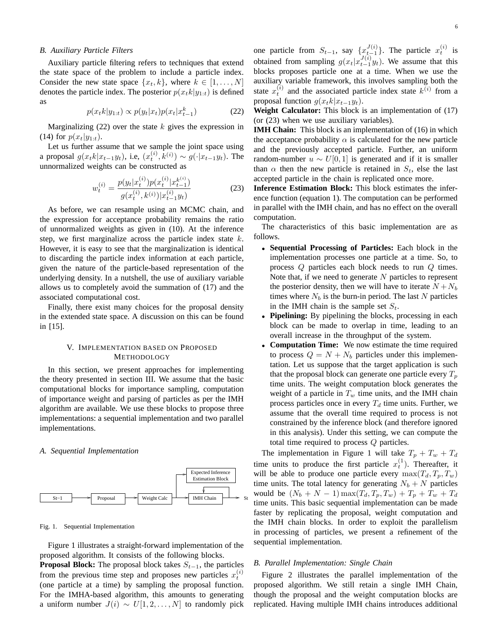#### *B. Auxiliary Particle Filters*

Auxiliary particle filtering refers to techniques that extend the state space of the problem to include a particle index. Consider the new state space  $\{x_t, k\}$ , where  $k \in [1, \ldots, N]$ denotes the particle index. The posterior  $p(x_t k|y_{1:t})$  is defined as

$$
p(x_t k|y_{1:t}) \propto p(y_t|x_t)p(x_t|x_{t-1}^k)
$$
\n(22)

Marginalizing  $(22)$  over the state k gives the expression in (14) for  $p(x_t|y_{1:t})$ .

Let us further assume that we sample the joint space using a proposal  $g(x_t k | x_{t-1} y_t)$ , i.e,  $(x_t^{(i)}, k^{(i)}) \sim g(\cdot | x_{t-1} y_t)$ . The unnormalized weights can be constructed as

$$
w_t^{(i)} = \frac{p(y_t|x_t^{(i)})p(x_t^{(i)}|x_{t-1}^{k^{(i)}})}{g(x_t^{(i)}, k^{(i)})|x_{t-1}^{(i)}y_t)}
$$
(23)

As before, we can resample using an MCMC chain, and the expression for acceptance probability remains the ratio of unnormalized weights as given in (10). At the inference step, we first marginalize across the particle index state  $k$ . However, it is easy to see that the marginalization is identical to discarding the particle index information at each particle, given the nature of the particle-based representation of the underlying density. In a nutshell, the use of auxiliary variable allows us to completely avoid the summation of (17) and the associated computational cost.

Finally, there exist many choices for the proposal density in the extended state space. A discussion on this can be found in [15].

# V. IMPLEMENTATION BASED ON PROPOSED METHODOLOGY

In this section, we present approaches for implementing the theory presented in section III. We assume that the basic computational blocks for importance sampling, computation of importance weight and parsing of particles as per the IMH algorithm are available. We use these blocks to propose three implementations: a sequential implementation and two parallel implementations.

# *A. Sequential Implementation*



Fig. 1. Sequential Implementation

Figure 1 illustrates a straight-forward implementation of the proposed algorithm. It consists of the following blocks.

**Proposal Block:** The proposal block takes  $S_{t-1}$ , the particles from the previous time step and proposes new particles  $x_t^{(i)}$ (one particle at a time) by sampling the proposal function. For the IMHA-based algorithm, this amounts to generating a uniform number  $J(i) \sim U[1, 2, ..., N]$  to randomly pick

one particle from  $S_{t-1}$ , say  $\{x_{t-1}^{J(i)}\}$ . The particle  $x_t^{(i)}$  is obtained from sampling  $g(x_t|x_{t-1}^{J(i)}y_t)$ . We assume that this blocks proposes particle one at a time. When we use the auxiliary variable framework, this involves sampling both the state  $x_t^{(i)}$  and the associated particle index state  $k^{(i)}$  from a proposal function  $g(x_t k|x_{t-1}y_t)$ .

**Weight Calculator:** This block is an implementation of (17) (or (23) when we use auxiliary variables).

**IMH Chain:** This block is an implementation of (16) in which the acceptance probability  $\alpha$  is calculated for the new particle and the previously accepted particle. Further, an uniform random-number  $u \sim U[0, 1]$  is generated and if it is smaller than  $\alpha$  then the new particle is retained in  $S_t$ , else the last accepted particle in the chain is replicated once more.

**Inference Estimation Block:** This block estimates the inference function (equation 1). The computation can be performed in parallel with the IMH chain, and has no effect on the overall computation.

The characteristics of this basic implementation are as follows.

- **Sequential Processing of Particles:** Each block in the implementation processes one particle at a time. So, to process Q particles each block needs to run Q times. Note that, if we need to generate  $N$  particles to represent the posterior density, then we will have to iterate  $N + N_b$ times where  $N_b$  is the burn-in period. The last N particles in the IMH chain is the sample set  $S_t$ .
- **Pipelining:** By pipelining the blocks, processing in each block can be made to overlap in time, leading to an overall increase in the throughput of the system.
- **Computation Time:** We now estimate the time required to process  $Q = N + N_b$  particles under this implementation. Let us suppose that the target application is such that the proposal block can generate one particle every  $T_p$ time units. The weight computation block generates the weight of a particle in  $T_w$  time units, and the IMH chain process particles once in every  $T_d$  time units. Further, we assume that the overall time required to process is not constrained by the inference block (and therefore ignored in this analysis). Under this setting, we can compute the total time required to process Q particles.

The implementation in Figure 1 will take  $T_p + T_w + T_d$ time units to produce the first particle  $x_t^{(1)}$ . Thereafter, it will be able to produce one particle every  $\max(T_d, T_p, T_w)$ time units. The total latency for generating  $N_b + N$  particles would be  $(N_b + N - 1) \max(T_d, T_p, T_w) + T_p + T_w + T_d$ time units. This basic sequential implementation can be made faster by replicating the proposal, weight computation and the IMH chain blocks. In order to exploit the parallelism in processing of particles, we present a refinement of the sequential implementation.

# *B. Parallel Implementation: Single Chain*

Figure 2 illustrates the parallel implementation of the proposed algorithm. We still retain a single IMH Chain, though the proposal and the weight computation blocks are replicated. Having multiple IMH chains introduces additional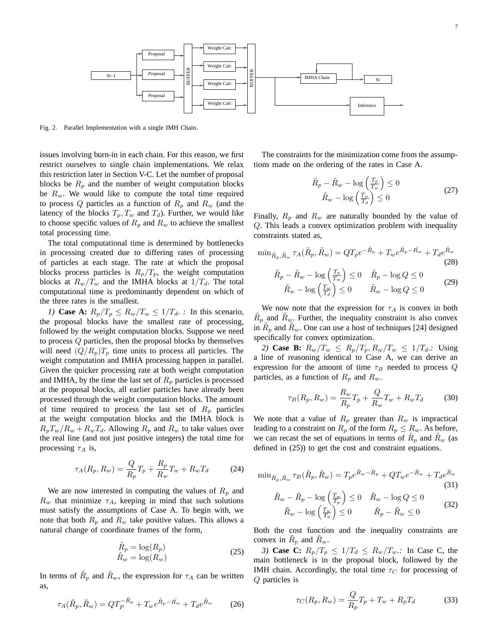

Fig. 2. Parallel Implementation with a single IMH Chain.

issues involving burn-in in each chain. For this reason, we first restrict ourselves to single chain implementations. We relax this restriction later in Section V-C. Let the number of proposal blocks be  $R_p$  and the number of weight computation blocks be  $R_w$ . We would like to compute the total time required to process Q particles as a function of  $R_p$  and  $R_w$  (and the latency of the blocks  $T_p, T_w$  and  $T_d$ ). Further, we would like to choose specific values of  $R_p$  and  $R_w$  to achieve the smallest total processing time.

The total computational time is determined by bottlenecks in processing created due to differing rates of processing of particles at each stage. The rate at which the proposal blocks process particles is  $R_p/T_p$ , the weight computation blocks at  $R_w/T_w$  and the IMHA blocks at  $1/T_d$ . The total computational time is predominantly dependent on which of the three rates is the smallest.

*1)* **Case A:**  $R_p/T_p \leq R_w/T_w \leq 1/T_d$ . *:* In this scenario, the proposal blocks have the smallest rate of processing, followed by the weight computation blocks. Suppose we need to process Q particles, then the proposal blocks by themselves will need  $(Q/R_p)T_p$  time units to process all particles. The weight computation and IMHA processing happen in parallel. Given the quicker processing rate at both weight computation and IMHA, by the time the last set of  $R_p$  particles is processed at the proposal blocks, all earlier particles have already been processed through the weight computation blocks. The amount of time required to process the last set of  $R_p$  particles at the weight computation blocks and the IMHA block is  $R_pT_w/R_w + R_wT_d$ . Allowing  $R_p$  and  $R_w$  to take values over the real line (and not just positive integers) the total time for processing  $\tau_A$  is,

$$
\tau_A(R_p, R_w) = \frac{Q}{R_p} T_p + \frac{R_p}{R_w} T_w + R_w T_d \tag{24}
$$

We are now interested in computing the values of  $R_p$  and  $R_w$  that minimize  $\tau_A$ , keeping in mind that such solutions must satisfy the assumptions of Case A. To begin with, we note that both  $R_p$  and  $R_w$  take positive values. This allows a natural change of coordinate frames of the form,

$$
\tilde{R}_p = \log(R_p) \n\tilde{R}_w = \log(R_w)
$$
\n(25)

In terms of  $\tilde{R}_p$  and  $\tilde{R}_w$ , the expression for  $\tau_A$  can be written as,

$$
\tau_A(\tilde{R}_p, \tilde{R}_w) = Q T_P^{-\tilde{R}_p} + T_w e^{\tilde{R}_p - \tilde{R_w}} + T_d e^{\tilde{R}_w} \tag{26}
$$

The constraints for the minimization come from the assumptions made on the ordering of the rates in Case A.

$$
\tilde{R}_p - \tilde{R}_w - \log\left(\frac{T_p}{T_w}\right) \le 0
$$
\n
$$
\tilde{R}_w - \log\left(\frac{T_w}{T_d}\right) \le 0
$$
\n(27)

Finally,  $R_p$  and  $R_w$  are naturally bounded by the value of Q. This leads a convex optimization problem with inequality constraints stated as,

$$
\min_{\tilde{R}_p, \tilde{R}_w} \tau_A(\tilde{R}_p, \tilde{R}_w) = QT_p e^{-\tilde{R}_p} + T_w e^{\tilde{R}_p - \tilde{R}_w} + T_d e^{\tilde{R}_w}
$$
\n
$$
\tilde{R}_p - \tilde{R}_w - \log\left(\frac{T_p}{T_w}\right) \le 0 \quad \tilde{R}_p - \log Q \le 0
$$
\n
$$
\tilde{R}_w - \log\left(\frac{T_w}{T_d}\right) \le 0 \quad \tilde{R}_w - \log Q \le 0
$$
\n
$$
(29)
$$

We now note that the expression for  $\tau_A$  is convex in both  $\tilde{R}_p$  and  $\tilde{R}_w$ . Further, the inequality constraint is also convex in  $\tilde{R}_p$  and  $\tilde{R}_w$ . One can use a host of techniques [24] designed specifically for convex optimization.

*2)* **Case B:**  $R_w/T_w \leq R_p/T_p$ ,  $R_w/T_w \leq 1/T_d$ .: Using a line of reasoning identical to Case A, we can derive an expression for the amount of time  $\tau_B$  needed to process Q particles, as a function of  $R_p$  and  $R_w$ .

$$
\tau_B(R_p, R_w) = \frac{R_w}{R_p} T_p + \frac{Q}{R_w} T_w + R_w T_d \tag{30}
$$

We note that a value of  $R_p$  greater than  $R_w$  is impractical leading to a constraint on  $R_p$  of the form  $R_p \le R_w$ . As before, we can recast the set of equations in terms of  $\tilde{R}_p$  and  $\tilde{R}_w$  (as defined in (25)) to get the cost and constraint equations.

$$
\min_{\tilde{R}_p, \tilde{R}_w} \tau_B(\tilde{R}_p, \tilde{R}_w) = T_p e^{\tilde{R}_w - \tilde{R}_p} + QT_w e^{-\tilde{R}_w} + T_d e^{\tilde{R}_w}
$$
\n(31)

$$
\tilde{R}_w - \tilde{R}_p - \log\left(\frac{T_w}{T_p}\right) \le 0 \quad \tilde{R}_w - \log Q \le 0
$$
\n
$$
\tilde{R}_w - \log\left(\frac{T_w}{T_d}\right) \le 0 \qquad \tilde{R}_p - \tilde{R}_w \le 0
$$
\n(32)

Both the cost function and the inequality constraints are convex in  $\tilde{R}_p$  and  $\tilde{R}_w$ .

*3)* **Case** C:  $R_p/T_p \leq 1/T_d \leq R_w/T_w$ .: In Case C, the main bottleneck is in the proposal block, followed by the IMH chain. Accordingly, the total time  $\tau_C$  for processing of Q particles is

$$
\tau_C(R_p, R_w) = \frac{Q}{R_p} T_p + T_w + R_p T_d \tag{33}
$$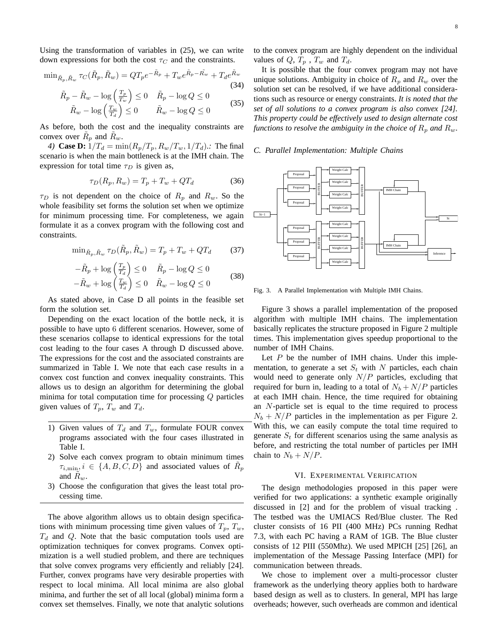Using the transformation of variables in (25), we can write down expressions for both the cost  $\tau_C$  and the constraints.

$$
\min_{\tilde{R}_p, \tilde{R}_w} \tau_C(\tilde{R}_p, \tilde{R}_w) = QT_p e^{-\tilde{R}_p} + T_w e^{\tilde{R}_p - \tilde{R}_w} + T_d e^{\tilde{R}_w}
$$
\n(34)

$$
\tilde{R}_p - \tilde{R}_w - \log\left(\frac{T_p}{T_w}\right) \le 0 \quad \tilde{R}_p - \log Q \le 0
$$
\n
$$
\tilde{R}_w - \log\left(\frac{T_w}{T_d}\right) \le 0 \quad \tilde{R}_w - \log Q \le 0
$$
\n(35)

As before, both the cost and the inequality constraints are convex over  $\tilde{R}_p$  and  $\tilde{R}_w$ .

*4*) **Case D:**  $1/T_d = \min(R_p/T_p, R_w/T_w, 1/T_d)$ .: The final scenario is when the main bottleneck is at the IMH chain. The expression for total time  $\tau_D$  is given as,

$$
\tau_D(R_p, R_w) = T_p + T_w + QT_d \tag{36}
$$

 $\tau_D$  is not dependent on the choice of  $R_p$  and  $R_w$ . So the whole feasibility set forms the solution set when we optimize for minimum processing time. For completeness, we again formulate it as a convex program with the following cost and constraints.

$$
\min_{\tilde{R}_p, \tilde{R}_w} \tau_D(\tilde{R}_p, \tilde{R}_w) = T_p + T_w + QT_d \tag{37}
$$

$$
-\tilde{R}_p + \log\left(\frac{T_p}{T_d}\right) \le 0 \quad \tilde{R}_p - \log Q \le 0
$$

$$
-\tilde{R}_w + \log\left(\frac{T_w}{T_d}\right) \le 0 \quad \tilde{R}_w - \log Q \le 0
$$
(38)

As stated above, in Case D all points in the feasible set form the solution set.

Depending on the exact location of the bottle neck, it is possible to have upto 6 different scenarios. However, some of these scenarios collapse to identical expressions for the total cost leading to the four cases A through D discussed above. The expressions for the cost and the associated constraints are summarized in Table I. We note that each case results in a convex cost function and convex inequality constraints. This allows us to design an algorithm for determining the global minima for total computation time for processing Q particles given values of  $T_p$ ,  $T_w$  and  $T_d$ .

- 1) Given values of  $T_d$  and  $T_w$ , formulate FOUR convex programs associated with the four cases illustrated in Table I.
- 2) Solve each convex program to obtain minimum times  $\tau_{i,\min}, i \in \{A, B, C, D\}$  and associated values of  $\tilde{R}_p$ and  $R_w$ .
- 3) Choose the configuration that gives the least total processing time.

The above algorithm allows us to obtain design specifications with minimum processing time given values of  $T_p$ ,  $T_w$ ,  $T_d$  and  $Q$ . Note that the basic computation tools used are optimization techniques for convex programs. Convex optimization is a well studied problem, and there are techniques that solve convex programs very efficiently and reliably [24]. Further, convex programs have very desirable properties with respect to local minima. All local minima are also global minima, and further the set of all local (global) minima form a convex set themselves. Finally, we note that analytic solutions to the convex program are highly dependent on the individual values of  $Q, T_p, T_w$  and  $T_d$ .

It is possible that the four convex program may not have unique solutions. Ambiguity in choice of  $R_p$  and  $R_w$  over the solution set can be resolved, if we have additional considerations such as resource or energy constraints. *It is noted that the set of all solutions to a convex program is also convex [24]. This property could be effectively used to design alternate cost functions to resolve the ambiguity in the choice of*  $R_p$  *and*  $R_w$ .

# *C. Parallel Implementation: Multiple Chains*



Fig. 3. A Parallel Implementation with Multiple IMH Chains.

Figure 3 shows a parallel implementation of the proposed algorithm with multiple IMH chains. The implementation basically replicates the structure proposed in Figure 2 multiple times. This implementation gives speedup proportional to the number of IMH Chains.

Let  $P$  be the number of IMH chains. Under this implementation, to generate a set  $S_t$  with N particles, each chain would need to generate only  $N/P$  particles, excluding that required for burn in, leading to a total of  $N_b + N/P$  particles at each IMH chain. Hence, the time required for obtaining an N-particle set is equal to the time required to process  $N_b + N/P$  particles in the implementation as per Figure 2. With this, we can easily compute the total time required to generate  $S_t$  for different scenarios using the same analysis as before, and restricting the total number of particles per IMH chain to  $N_b + N/P$ .

#### VI. EXPERIMENTAL VERIFICATION

The design methodologies proposed in this paper were verified for two applications: a synthetic example originally discussed in [2] and for the problem of visual tracking . The testbed was the UMIACS Red/Blue cluster. The Red cluster consists of 16 PII (400 MHz) PCs running Redhat 7.3, with each PC having a RAM of 1GB. The Blue cluster consists of 12 PIII (550Mhz). We used MPICH [25] [26], an implementation of the Message Passing Interface (MPI) for communication between threads.

We chose to implement over a multi-processor cluster framework as the underlying theory applies both to hardware based design as well as to clusters. In general, MPI has large overheads; however, such overheads are common and identical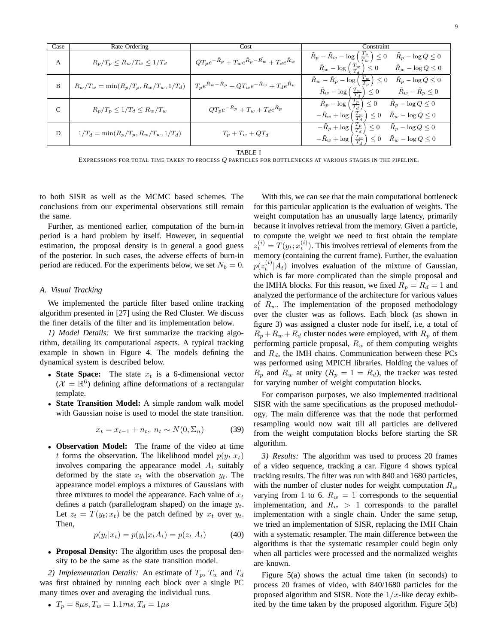|  | ٩<br>×<br>v<br>×<br>۰. |
|--|------------------------|
|  |                        |

| Case | Rate Ordering                             | Cost                                                                               | Constraint                                                                                                                                                                                                 |
|------|-------------------------------------------|------------------------------------------------------------------------------------|------------------------------------------------------------------------------------------------------------------------------------------------------------------------------------------------------------|
| А    | $R_p/T_p \le R_w/T_w \le 1/T_d$           | $Q T_p e^{-\tilde{R}_p} + T_w e^{\tilde{R}_p - \tilde{R_w}} + T_d e^{\tilde{R}_w}$ | $\boxed{\tilde{R}_p - \tilde{R}_w - \log\left(\frac{T_p}{T_w}\right)} \leq 0$<br>$\tilde{R}_p - \log Q \leq 0$<br>$\tilde{R}_w - \log\left(\frac{T_w}{T_A}\right) \leq 0$<br>$\tilde{R}_w - \log Q \leq 0$ |
|      |                                           |                                                                                    |                                                                                                                                                                                                            |
| В    | $R_w/T_w = \min(R_p/T_p, R_w/T_w, 1/T_d)$ | $T_p e^{\tilde{R}_w - \tilde{R}_p} + Q T_w e^{-\tilde{R}_w} + T_d e^{\tilde{R}_w}$ | $\overline{\tilde{R}_w - \tilde{R}_p} - \log\left(\frac{T_w}{T_n}\right) \leq 0$<br>$\tilde{R}_p - \log Q \leq 0$                                                                                          |
|      |                                           |                                                                                    | $\tilde{R}_w - \log\left(\frac{T_w}{T_A}\right) \leq 0$<br>$\tilde{R}_w - \tilde{R}_p \leq 0$                                                                                                              |
| C    | $R_p/T_p \leq 1/T_d \leq R_w/T_w$         | $QT_p e^{-\tilde{R}_p} + T_w + T_d e^{\tilde{R}_p}$                                | $\tilde{R}_p - \log\left(\frac{T_p}{T_d}\right) \leq 0$ $\tilde{R}_p - \log Q \leq 0$                                                                                                                      |
|      |                                           |                                                                                    | $-\tilde{R}_w + \log\left(\frac{T_w}{T_d}\right) \leq 0$<br>$\tilde{R}_w - \log Q \leq 0$                                                                                                                  |
| D    | $1/T_d = \min(R_p/T_p, R_w/T_w, 1/T_d)$   | $T_p + T_w + QT_d$                                                                 | $-\tilde{R}_p + \log\left(\frac{T_p}{T_d}\right) \leq 0$<br>$\tilde{R}_p - \log Q \leq 0$                                                                                                                  |
|      |                                           |                                                                                    | $-\tilde{R}_w + \log\left(\frac{T_w}{T_d}\right) \leq 0$ $\tilde{R}_w - \log Q \leq 0$                                                                                                                     |

TABLE I

EXPRESSIONS FOR TOTAL TIME TAKEN TO PROCESS Q PARTICLES FOR BOTTLENECKS AT VARIOUS STAGES IN THE PIPELINE.

to both SISR as well as the MCMC based schemes. The conclusions from our experimental observations still remain the same.

Further, as mentioned earlier, computation of the burn-in period is a hard problem by itself. However, in sequential estimation, the proposal density is in general a good guess of the posterior. In such cases, the adverse effects of burn-in period are reduced. For the experiments below, we set  $N_b = 0$ .

# *A. Visual Tracking*

We implemented the particle filter based online tracking algorithm presented in [27] using the Red Cluster. We discuss the finer details of the filter and its implementation below.

*1) Model Details:* We first summarize the tracking algorithm, detailing its computational aspects. A typical tracking example in shown in Figure 4. The models defining the dynamical system is described below.

- **State Space:** The state  $x_t$  is a 6-dimensional vector  $(X = \mathbb{R}^6)$  defining affine deformations of a rectangular template.
- **State Transition Model:** A simple random walk model with Gaussian noise is used to model the state transition.

$$
x_t = x_{t-1} + n_t, \ n_t \sim N(0, \Sigma_n) \tag{39}
$$

• **Observation Model:** The frame of the video at time t forms the observation. The likelihood model  $p(y_t|x_t)$ involves comparing the appearance model  $A_t$  suitably deformed by the state  $x_t$  with the observation  $y_t$ . The appearance model employs a mixtures of Gaussians with three mixtures to model the appearance. Each value of  $x_t$ defines a patch (parallelogram shaped) on the image  $y_t$ . Let  $z_t = T(y_t; x_t)$  be the patch defined by  $x_t$  over  $y_t$ . Then,

$$
p(y_t|x_t) = p(y_t|x_t A_t) = p(z_t|A_t)
$$
 (40)

• **Proposal Density:** The algorithm uses the proposal density to be the same as the state transition model.

2) *Implementation Details:* An estimate of  $T_p$ ,  $T_w$  and  $T_d$ was first obtained by running each block over a single PC many times over and averaging the individual runs.

• 
$$
T_p = 8\mu s
$$
,  $T_w = 1.1ms$ ,  $T_d = 1\mu s$ 

With this, we can see that the main computational bottleneck for this particular application is the evaluation of weights. The weight computation has an unusually large latency, primarily because it involves retrieval from the memory. Given a particle, to compute the weight we need to first obtain the template  $z_t^{(i)} = T(y_t; x_t^{(i)})$ . This involves retrieval of elements from the memory (containing the current frame). Further, the evaluation  $p(z_t^{(i)} | A_t)$  involves evaluation of the mixture of Gaussian, which is far more complicated than the simple proposal and the IMHA blocks. For this reason, we fixed  $R_p = R_d = 1$  and analyzed the performance of the architecture for various values of  $R_w$ . The implementation of the proposed methodology over the cluster was as follows. Each block (as shown in figure 3) was assigned a cluster node for itself, i.e, a total of  $R_p + R_w + R_d$  cluster nodes were employed, with  $R_p$  of them performing particle proposal,  $R_w$  of them computing weights and  $R_d$ , the IMH chains. Communication between these PCs was performed using MPICH libraries. Holding the values of  $R_p$  and  $R_w$  at unity  $(R_p = 1 = R_d)$ , the tracker was tested for varying number of weight computation blocks.

For comparison purposes, we also implemented traditional SISR with the same specifications as the proposed methodology. The main difference was that the node that performed resampling would now wait till all particles are delivered from the weight computation blocks before starting the SR algorithm.

*3) Results:* The algorithm was used to process 20 frames of a video sequence, tracking a car. Figure 4 shows typical tracking results. The filter was run with 840 and 1680 particles, with the number of cluster nodes for weight computation  $R_w$ varying from 1 to 6.  $R_w = 1$  corresponds to the sequential implementation, and  $R_w > 1$  corresponds to the parallel implementation with a single chain. Under the same setup, we tried an implementation of SISR, replacing the IMH Chain with a systematic resampler. The main difference between the algorithms is that the systematic resampler could begin only when all particles were processed and the normalized weights are known.

Figure 5(a) shows the actual time taken (in seconds) to process 20 frames of video, with 840/1680 particles for the proposed algorithm and SISR. Note the  $1/x$ -like decay exhibited by the time taken by the proposed algorithm. Figure 5(b)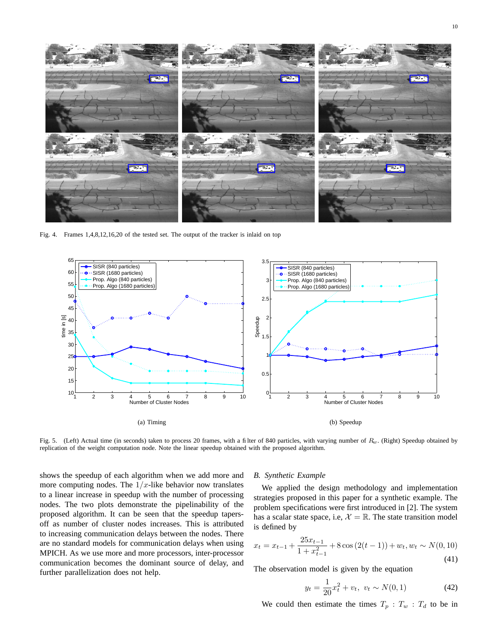

Fig. 4. Frames 1,4,8,12,16,20 of the tested set. The output of the tracker is inlaid on top



Fig. 5. (Left) Actual time (in seconds) taken to process 20 frames, with a filter of 840 particles, with varying number of  $R_w$ . (Right) Speedup obtained by replication of the weight computation node. Note the linear speedup obtained with the proposed algorithm.

shows the speedup of each algorithm when we add more and more computing nodes. The  $1/x$ -like behavior now translates to a linear increase in speedup with the number of processing nodes. The two plots demonstrate the pipelinability of the proposed algorithm. It can be seen that the speedup tapersoff as number of cluster nodes increases. This is attributed to increasing communication delays between the nodes. There are no standard models for communication delays when using MPICH. As we use more and more processors, inter-processor communication becomes the dominant source of delay, and further parallelization does not help.

#### *B. Synthetic Example*

We applied the design methodology and implementation strategies proposed in this paper for a synthetic example. The problem specifications were first introduced in [2]. The system has a scalar state space, i.e,  $\mathcal{X} = \mathbb{R}$ . The state transition model is defined by

$$
x_t = x_{t-1} + \frac{25x_{t-1}}{1 + x_{t-1}^2} + 8\cos(2(t-1)) + w_t, w_t \sim N(0, 10)
$$
\n(41)

The observation model is given by the equation

$$
y_t = \frac{1}{20}x_t^2 + v_t, \ v_t \sim N(0, 1) \tag{42}
$$

We could then estimate the times  $T_p : T_w : T_d$  to be in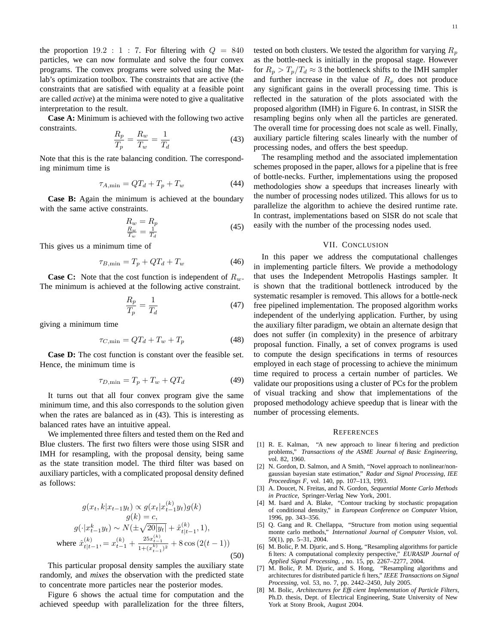the proportion  $19.2 : 1 : 7$ . For filtering with  $Q = 840$ particles, we can now formulate and solve the four convex programs. The convex programs were solved using the Matlab's optimization toolbox. The constraints that are active (the constraints that are satisfied with equality at a feasible point are called *active*) at the minima were noted to give a qualitative interpretation to the result.

**Case A:** Minimum is achieved with the following two active constraints.

$$
\frac{R_p}{T_p} = \frac{R_w}{T_w} = \frac{1}{T_d} \tag{43}
$$

Note that this is the rate balancing condition. The corresponding minimum time is

$$
\tau_{A,\min} = QT_d + T_p + T_w \tag{44}
$$

**Case B:** Again the minimum is achieved at the boundary with the same active constraints.

$$
R_w = R_p
$$
  
\n
$$
\frac{R_w}{T_w} = \frac{1}{T_d}
$$
\n(45)

This gives us a minimum time of

$$
\tau_{B,\min} = T_p + QT_d + T_w \tag{46}
$$

**Case C:** Note that the cost function is independent of  $R_w$ . The minimum is achieved at the following active constraint.

$$
\frac{R_p}{T_p} = \frac{1}{T_d} \tag{47}
$$

giving a minimum time

$$
\tau_{C,\min} = QT_d + T_w + T_p \tag{48}
$$

**Case D:** The cost function is constant over the feasible set. Hence, the minimum time is

$$
\tau_{D,\min} = T_p + T_w + QT_d \tag{49}
$$

It turns out that all four convex program give the same minimum time, and this also corresponds to the solution given when the rates are balanced as in (43). This is interesting as balanced rates have an intuitive appeal.

We implemented three filters and tested them on the Red and Blue clusters. The first two filters were those using SISR and IMH for resampling, with the proposal density, being same as the state transition model. The third filter was based on auxiliary particles, with a complicated proposal density defined as follows:

$$
g(x_t, k|x_{t-1}y_t) \propto g(x_t|x_{t-1}^{(k)}y_t)g(k)
$$
  
\n
$$
g(k) = c,
$$
  
\n
$$
g(\cdot|x_{t-1}^ky_t) \sim N(\pm\sqrt{20|y_t|} + \hat{x}_{t|t-1}^{(k)}, 1),
$$
  
\nwhere  $\hat{x}_{t|t-1}^{(k)}$ ,  $= x_{t-1}^{(k)} + \frac{25x_{t-1}^{(k)}}{1+(x_{t-1}^{(k)})^2} + 8 \cos(2(t-1))$  (50)

This particular proposal density samples the auxiliary state randomly, and *mixes* the observation with the predicted state to concentrate more particles near the posterior modes.

Figure 6 shows the actual time for computation and the achieved speedup with parallelization for the three filters, tested on both clusters. We tested the algorithm for varying  $R_p$ as the bottle-neck is initially in the proposal stage. However for  $R_p > T_p/T_d \approx 3$  the bottleneck shifts to the IMH sampler and further increase in the value of  $R_p$  does not produce any significant gains in the overall processing time. This is reflected in the saturation of the plots associated with the proposed algorithm (IMH) in Figure 6. In contrast, in SISR the resampling begins only when all the particles are generated. The overall time for processing does not scale as well. Finally, auxiliary particle filtering scales linearly with the number of processing nodes, and offers the best speedup.

The resampling method and the associated implementation schemes proposed in the paper, allows for a pipeline that is free of bottle-necks. Further, implementations using the proposed methodologies show a speedups that increases linearly with the number of processing nodes utilized. This allows for us to parallelize the algorithm to achieve the desired runtime rate. In contrast, implementations based on SISR do not scale that easily with the number of the processing nodes used.

#### VII. CONCLUSION

In this paper we address the computational challenges in implementing particle filters. We provide a methodology that uses the Independent Metropolis Hastings sampler. It is shown that the traditional bottleneck introduced by the systematic resampler is removed. This allows for a bottle-neck free pipelined implementation. The proposed algorithm works independent of the underlying application. Further, by using the auxiliary filter paradigm, we obtain an alternate design that does not suffer (in complexity) in the presence of arbitrary proposal function. Finally, a set of convex programs is used to compute the design specifications in terms of resources employed in each stage of processing to achieve the minimum time required to process a certain number of particles. We validate our propositions using a cluster of PCs for the problem of visual tracking and show that implementations of the proposed methodology achieve speedup that is linear with the number of processing elements.

#### **REFERENCES**

- [1] R. E. Kalman, "A new approach to linear filtering and prediction problems," *Transactions of the ASME Journal of Basic Engineering*, vol. 82, 1960.
- [2] N. Gordon, D. Salmon, and A Smith, "Novel approach to nonlinear/nongaussian bayesian state estimation," *Radar and Signal Processing, IEE Proceedings F*, vol. 140, pp. 107–113, 1993.
- [3] A. Doucet, N. Freitas, and N. Gordon, *Sequential Monte Carlo Methods in Practice*, Springer-Verlag New York, 2001.
- [4] M. Isard and A. Blake, "Contour tracking by stochastic propagation of conditional density," in *European Conference on Computer Vision*, 1996, pp. 343–356.
- [5] Q. Gang and R. Chellappa, "Structure from motion using sequential monte carlo methods," *International Journal of Computer Vision*, vol. 50(1), pp. 5–31, 2004.
- [6] M. Bolic, P. M. Djuric, and S. Hong, "Resampling algorithms for particle filters: A computational complexity perspective," *EURASIP Journal of Applied Signal Processing*, , no. 15, pp. 2267–2277, 2004.
- [7] M. Bolic, P. M. Djuric, and S. Hong, "Resampling algorithms and architectures for distributed particle filters," *IEEE Transactions on Signal Processing*, vol. 53, no. 7, pp. 2442–2450, July 2005.
- [8] M. Bolic, *Architectures for Efficient Implementation of Particle Filters*, Ph.D. thesis, Dept. of Electrical Engineering, State University of New York at Stony Brook, August 2004.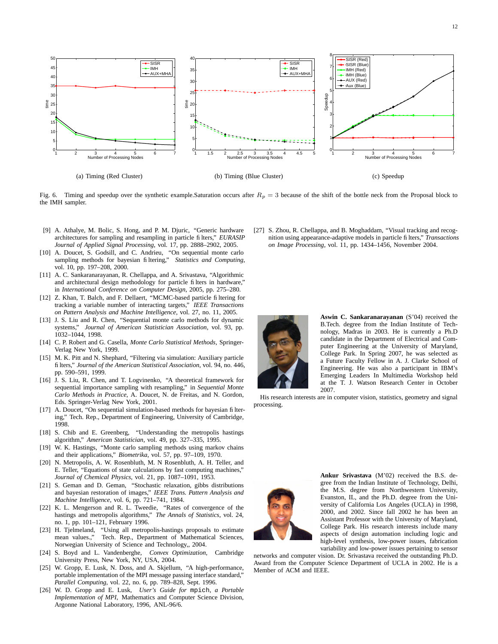

Fig. 6. Timing and speedup over the synthetic example.Saturation occurs after  $R_p = 3$  because of the shift of the bottle neck from the Proposal block to the IMH sampler.

- [9] A. Athalye, M. Bolic, S. Hong, and P. M. Djuric, "Generic hardware architectures for sampling and resampling in particle filters," *EURASIP Journal of Applied Signal Processing*, vol. 17, pp. 2888–2902, 2005.
- [10] A. Doucet, S. Godsill, and C. Andrieu, "On sequential monte carlo sampling methods for bayesian filtering," *Statistics and Computing*, vol. 10, pp. 197–208, 2000.
- [11] A. C. Sankaranarayanan, R. Chellappa, and A. Srivastava, "Algorithmic and architectural design methodology for particle filters in hardware," in *International Conference on Computer Design*, 2005, pp. 275–280.
- [12] Z. Khan, T. Balch, and F. Dellaert, "MCMC-based particle filtering for tracking a variable number of interacting targets," *IEEE Transactions on Pattern Analysis and Machine Intelligence*, vol. 27, no. 11, 2005.
- [13] J. S. Liu and R. Chen, "Sequential monte carlo methods for dynamic systems," *Journal of American Statistician Association*, vol. 93, pp. 1032–1044, 1998.
- [14] C. P. Robert and G. Casella, *Monte Carlo Statistical Methods*, Springer-Verlag New York, 1999.
- [15] M. K. Pitt and N. Shephard, "Filtering via simulation: Auxiliary particle filters," *Journal of the American Statistical Association*, vol. 94, no. 446, pp. 590–591, 1999.
- [16] J. S. Liu, R. Chen, and T. Logvinenko, "A theoretical framework for sequential importance sampling with resampling," in *Sequential Monte Carlo Methods in Practice*, A. Doucet, N. de Freitas, and N. Gordon, Eds. Springer-Verlag New York, 2001.
- [17] A. Doucet, "On sequential simulation-based methods for bayesian filtering," Tech. Rep., Department of Engineering, University of Cambridge, 1998.
- [18] S. Chib and E. Greenberg, "Understanding the metropolis hastings algorithm," *American Statistician*, vol. 49, pp. 327–335, 1995.
- [19] W. K. Hastings, "Monte carlo sampling methods using markov chains and their applications," *Biometrika*, vol. 57, pp. 97–109, 1970.
- [20] N. Metropolis, A. W. Rosenbluth, M. N Rosenbluth, A. H. Teller, and E. Teller, "Equations of state calculations by fast computing machines," *Journal of Chemical Physics*, vol. 21, pp. 1087–1091, 1953.
- [21] S. Geman and D. Geman, "Stochastic relaxation, gibbs distributions and bayesian restoration of images," *IEEE Trans. Pattern Analysis and Machine Intelligence*, vol. 6, pp. 721–741, 1984.
- [22] K. L. Mengerson and R. L. Tweedie, "Rates of convergence of the hastings and metropolis algorithms," *The Annals of Statistics*, vol. 24, no. 1, pp. 101–121, February 1996.
- [23] H. Tjelmeland, "Using all metropolis-hastings proposals to estimate mean values.," Tech. Rep., Department of Mathematical Sciences, Norwegian University of Science and Technology,, 2004.
- [24] S. Boyd and L. Vandenberghe, *Convex Optimization*, Cambridge University Press, New York, NY, USA, 2004.
- [25] W. Gropp, E. Lusk, N. Doss, and A. Skjellum, "A high-performance, portable implementation of the MPI message passing interface standard," *Parallel Computing*, vol. 22, no. 6, pp. 789–828, Sept. 1996.
- [26] W. D. Gropp and E. Lusk, *User's Guide for* mpich*, a Portable Implementation of MPI*, Mathematics and Computer Science Division, Argonne National Laboratory, 1996, ANL-96/6.

[27] S. Zhou, R. Chellappa, and B. Moghaddam, "Visual tracking and recognition using appearance-adaptive models in particle filters," *Transactions on Image Processing*, vol. 11, pp. 1434–1456, November 2004.



**Aswin C. Sankaranarayanan** (S'04) received the B.Tech. degree from the Indian Institute of Technology, Madras in 2003. He is currently a Ph.D candidate in the Department of Electrical and Computer Engineering at the University of Maryland, College Park. In Spring 2007, he was selected as a Future Faculty Fellow in A. J. Clarke School of Engineering. He was also a participant in IBM's Emerging Leaders In Multimedia Workshop held at the T. J. Watson Research Center in October 2007.

His research interests are in computer vision, statistics, geometry and signal processing.



**Ankur Srivastava** (M'02) received the B.S. degree from the Indian Institute of Technology, Delhi, the M.S. degree from Northwestern University, Evanston, IL, and the Ph.D. degree from the University of California Los Angeles (UCLA) in 1998, 2000, and 2002. Since fall 2002 he has been an Assistant Professor with the University of Maryland, College Park. His research interests include many aspects of design automation including logic and high-level synthesis, low-power issues, fabrication variability and low-power issues pertaining to sensor

networks and computer vision. Dr. Srivastava received the outstanding Ph.D. Award from the Computer Science Department of UCLA in 2002. He is a Member of ACM and IEEE.